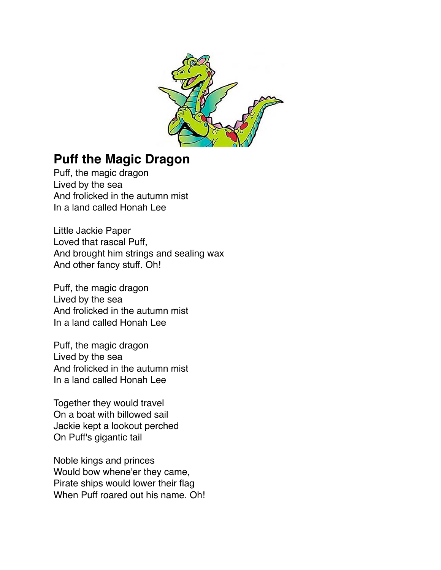

## **Puff the Magic Dragon**

Puff, the magic dragon Lived by the sea And frolicked in the autumn mist In a land called Honah Lee

Little Jackie Paper Loved that rascal Puff, And brought him strings and sealing wax And other fancy stuff. Oh!

Puff, the magic dragon Lived by the sea And frolicked in the autumn mist In a land called Honah Lee

Puff, the magic dragon Lived by the sea And frolicked in the autumn mist In a land called Honah Lee

Together they would travel On a boat with billowed sail Jackie kept a lookout perched On Puff's gigantic tail

Noble kings and princes Would bow whene'er they came, Pirate ships would lower their flag When Puff roared out his name. Oh!